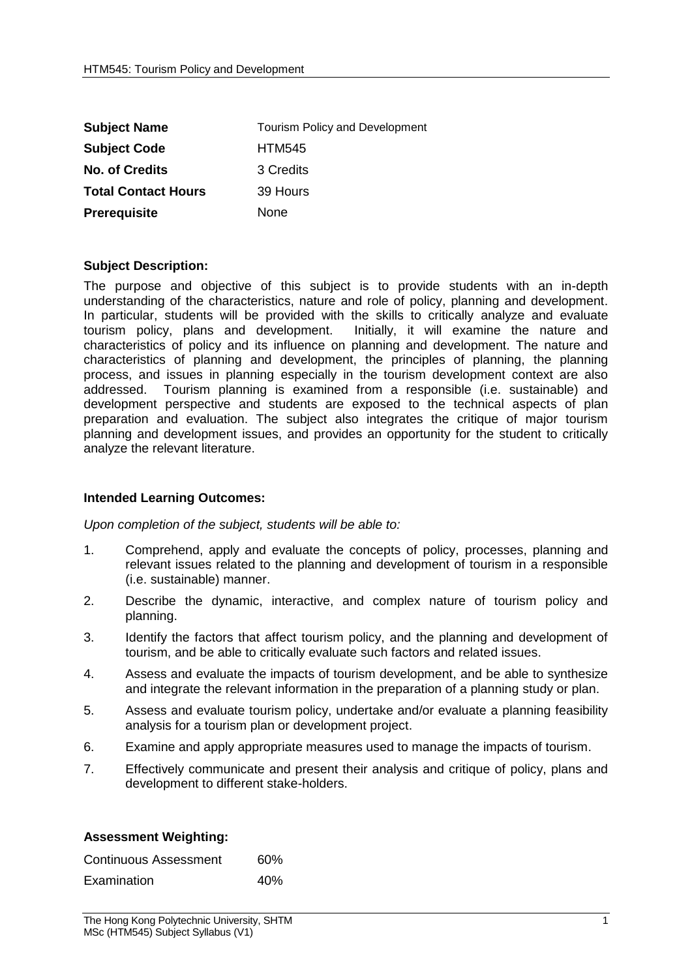| <b>Subject Name</b>        | <b>Tourism Policy and Development</b> |  |
|----------------------------|---------------------------------------|--|
| <b>Subject Code</b>        | <b>HTM545</b>                         |  |
| <b>No. of Credits</b>      | 3 Credits                             |  |
| <b>Total Contact Hours</b> | 39 Hours                              |  |
| <b>Prerequisite</b>        | None                                  |  |

## **Subject Description:**

The purpose and objective of this subject is to provide students with an in-depth understanding of the characteristics, nature and role of policy, planning and development. In particular, students will be provided with the skills to critically analyze and evaluate tourism policy, plans and development. Initially, it will examine the nature and characteristics of policy and its influence on planning and development. The nature and characteristics of planning and development, the principles of planning, the planning process, and issues in planning especially in the tourism development context are also addressed. Tourism planning is examined from a responsible (i.e. sustainable) and development perspective and students are exposed to the technical aspects of plan preparation and evaluation. The subject also integrates the critique of major tourism planning and development issues, and provides an opportunity for the student to critically analyze the relevant literature.

## **Intended Learning Outcomes:**

*Upon completion of the subject, students will be able to:*

- 1. Comprehend, apply and evaluate the concepts of policy, processes, planning and relevant issues related to the planning and development of tourism in a responsible (i.e. sustainable) manner.
- 2. Describe the dynamic, interactive, and complex nature of tourism policy and planning.
- 3. Identify the factors that affect tourism policy, and the planning and development of tourism, and be able to critically evaluate such factors and related issues.
- 4. Assess and evaluate the impacts of tourism development, and be able to synthesize and integrate the relevant information in the preparation of a planning study or plan.
- 5. Assess and evaluate tourism policy, undertake and/or evaluate a planning feasibility analysis for a tourism plan or development project.
- 6. Examine and apply appropriate measures used to manage the impacts of tourism.
- 7. Effectively communicate and present their analysis and critique of policy, plans and development to different stake-holders.

| <b>Assessment Weighting:</b> |  |
|------------------------------|--|
|------------------------------|--|

| Continuous Assessment | 60% |
|-----------------------|-----|
| Examination           | 40% |